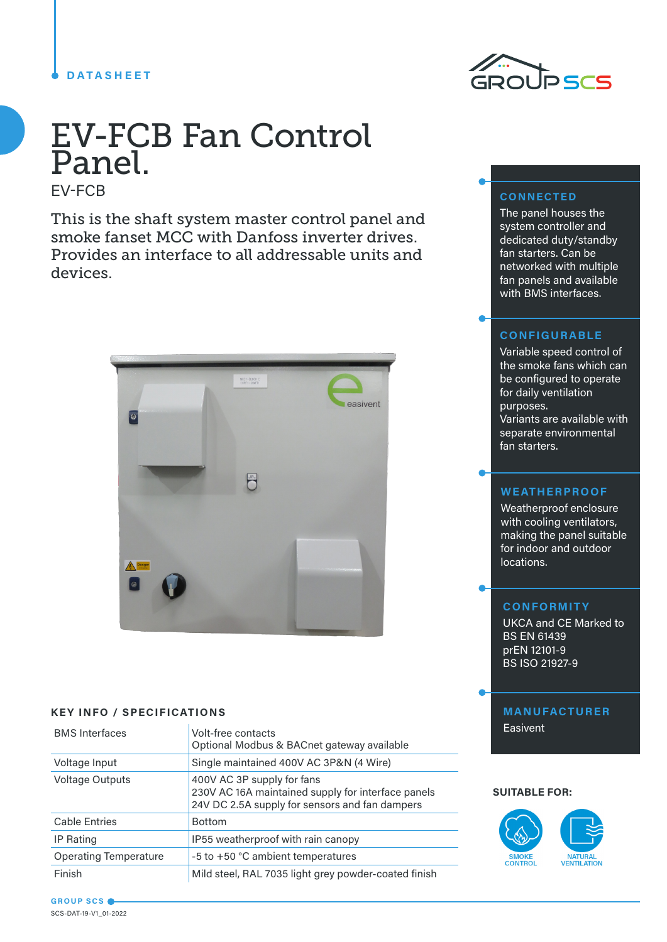### **DATASHEET**



# EV-FCB Fan Control Panel.

EV-FCB

This is the shaft system master control panel and smoke fanset MCC with Danfoss inverter drives. Provides an interface to all addressable units and devices.



#### **KEY INFO / SPECIFICATIONS**

| <b>BMS</b> Interfaces        | Volt-free contacts<br>Optional Modbus & BACnet gateway available                                                                   |
|------------------------------|------------------------------------------------------------------------------------------------------------------------------------|
| Voltage Input                | Single maintained 400V AC 3P&N (4 Wire)                                                                                            |
| <b>Voltage Outputs</b>       | 400V AC 3P supply for fans<br>230V AC 16A maintained supply for interface panels<br>24V DC 2.5A supply for sensors and fan dampers |
| <b>Cable Entries</b>         | <b>Bottom</b>                                                                                                                      |
| <b>IP Rating</b>             | IP55 weatherproof with rain canopy                                                                                                 |
| <b>Operating Temperature</b> | -5 to +50 °C ambient temperatures                                                                                                  |
| Finish                       | Mild steel, RAL 7035 light grey powder-coated finish                                                                               |

## **CONNECTED**

The panel houses the system controller and dedicated duty/standby fan starters. Can be networked with multiple fan panels and available with BMS interfaces.

#### **CONFIGURABLE**

Variable speed control of the smoke fans which can be configured to operate for daily ventilation purposes. Variants are available with separate environmental fan starters.

#### **WEATHERPROOF**

Weatherproof enclosure with cooling ventilators, making the panel suitable for indoor and outdoor locations.

## **CONFORMITY**

UKCA and CE Marked to BS EN 61439 prEN 12101-9 BS ISO 21927-9

## **MANUFACTURER** Easivent

#### **SUITABLE FOR:**



**GROUP SCS** SCS-DAT-19-V1\_01-2022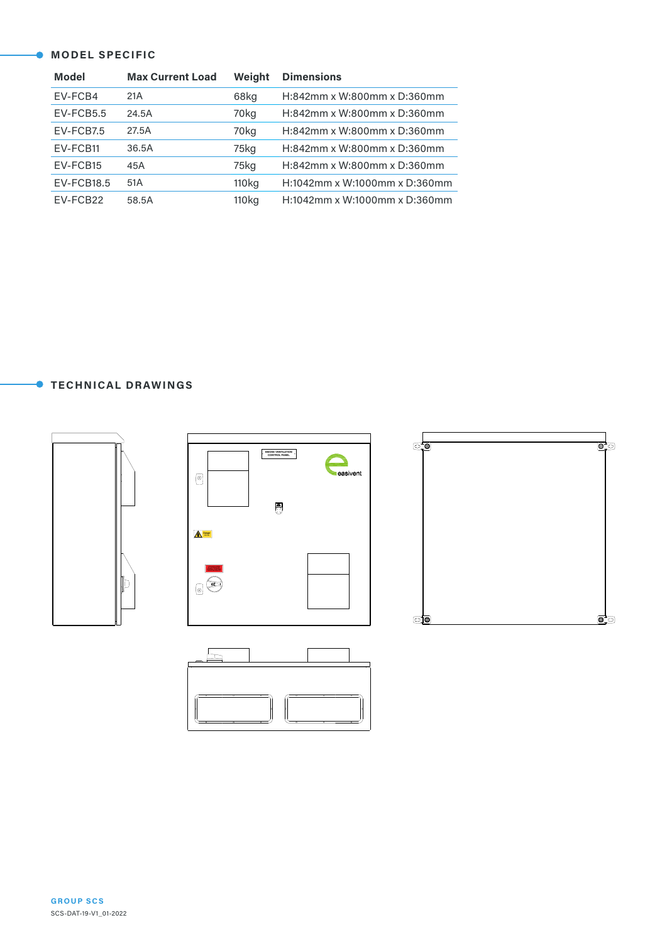#### **MODEL SPECIFIC**

| <b>Model</b>      | <b>Max Current Load</b> | Weight            | <b>Dimensions</b>             |
|-------------------|-------------------------|-------------------|-------------------------------|
| EV-FCB4           | 21A                     | 68kg              | H:842mm x W:800mm x D:360mm   |
| $EV$ -FCB5.5      | 24.5A                   | 70kg              | H:842mm x W:800mm x D:360mm   |
| EV-FCB7.5         | 27.5A                   | 70kg              | H:842mm x W:800mm x D:360mm   |
| EV-FCB11          | 36.5A                   | 75kg              | H:842mm x W:800mm x D:360mm   |
| EV-FCB15          | 45A                     | 75kg              | H:842mm x W:800mm x D:360mm   |
| <b>EV-FCB18.5</b> | 51A                     | 110 <sub>kg</sub> | H:1042mm x W:1000mm x D:360mm |
| EV-FCB22          | 58.5A                   | 110 <sub>kg</sub> | H:1042mm x W:1000mm x D:360mm |

## **TECHNICAL DRAWINGS**